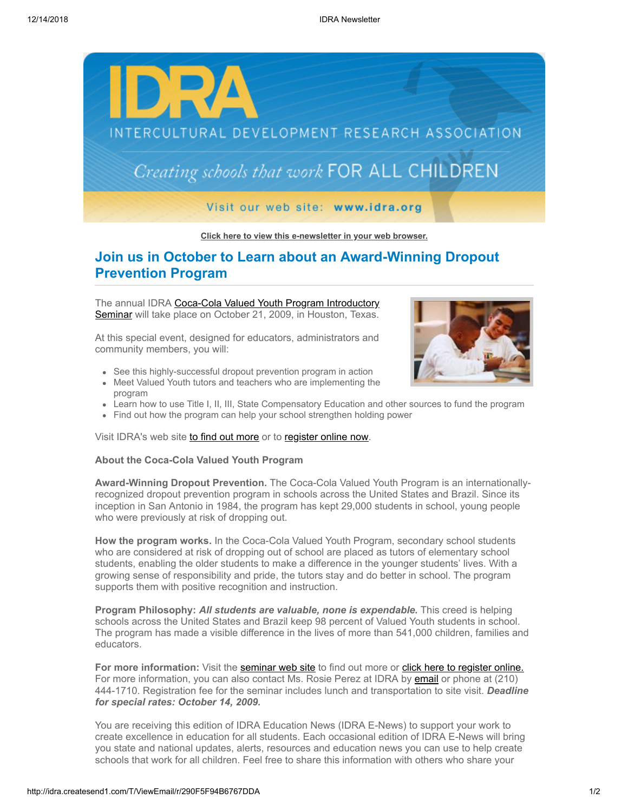

## **[Click here to view this e-newsletter in your web browser.](http://idra.createsend1.com/t/r/e/dhhhjk/l/)**

## **Join us in October to Learn about an Award-Winning Dropout Prevention Program**

The annual IDRA Coca-Cola Valued Youth Program Introductory Seminar [will take place on October 21, 2009, in Houston, Texas.](http://idra.createsend1.com/t/r/l/dhhhjk/l/y)

At this special event, designed for educators, administrators and community members, you will:

- See this highly-successful dropout prevention program in action
- Meet Valued Youth tutors and teachers who are implementing the program
- Learn how to use Title I, II, III, State Compensatory Education and other sources to fund the program
- Find out how the program can help your school strengthen holding power

Visit IDRA's web site [to find out more](http://idra.createsend1.com/t/r/l/dhhhjk/l/j) or to [register online now.](http://idra.createsend1.com/t/r/l/dhhhjk/l/t)

## **About the Coca-Cola Valued Youth Program**

**Award-Winning Dropout Prevention.** The Coca-Cola Valued Youth Program is an internationallyrecognized dropout prevention program in schools across the United States and Brazil. Since its inception in San Antonio in 1984, the program has kept 29,000 students in school, young people who were previously at risk of dropping out.

How the program works. In the Coca-Cola Valued Youth Program, secondary school students who are considered at risk of dropping out of school are placed as tutors of elementary school students, enabling the older students to make a difference in the younger students' lives. With a growing sense of responsibility and pride, the tutors stay and do better in school. The program supports them with positive recognition and instruction.

**Program Philosophy:** *All students are valuable, none is expendable.* This creed is helping schools across the United States and Brazil keep 98 percent of Valued Youth students in school. The program has made a visible difference in the lives of more than 541,000 children, families and educators.

**For more information:** Visit the **seminar web site** to find out more or **click here to register online.** For more information, you can also contact Ms. Rosie Perez at IDRA by [email](mailto:rosie.perez@idra.org?subject=Oct.%2021%20Coca-Cola%20Valued%20Youth%20Program%20Seminar%20) or phone at (210) 444-1710. Registration fee for the seminar includes lunch and transportation to site visit. *Deadline for special rates: October 14, 2009.*

You are receiving this edition of IDRA Education News (IDRA E-News) to support your work to create excellence in education for all students. Each occasional edition of IDRA E-News will bring you state and national updates, alerts, resources and education news you can use to help create schools that work for all children. Feel free to share this information with others who share your